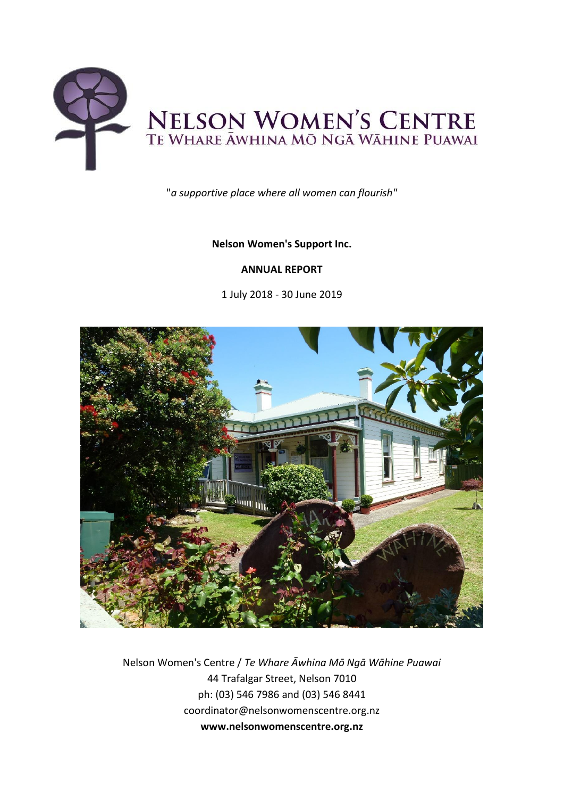

"*a supportive place where all women can flourish"*

# **Nelson Women's Support Inc.**

# **ANNUAL REPORT**

1 July 2018 - 30 June 2019



Nelson Women's Centre / *Te Whare Āwhina Mō Ngā Wāhine Puawai* 44 Trafalgar Street, Nelson 7010 ph: (03) 546 7986 and (03) 546 8441 coordinator@nelsonwomenscentre.org.nz **www.nelsonwomenscentre.org.nz**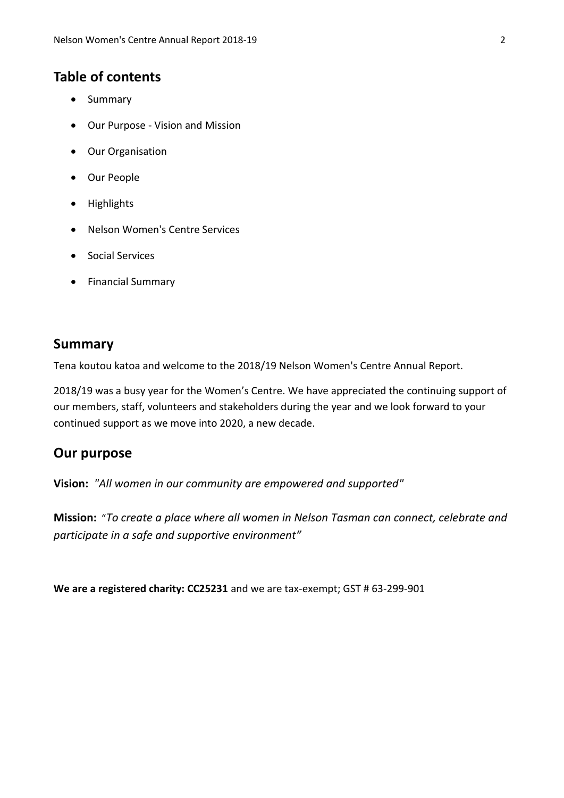# **Table of contents**

- Summary
- Our Purpose Vision and Mission
- Our Organisation
- Our People
- Highlights
- Nelson Women's Centre Services
- Social Services
- Financial Summary

# **Summary**

Tena koutou katoa and welcome to the 2018/19 Nelson Women's Centre Annual Report.

2018/19 was a busy year for the Women's Centre. We have appreciated the continuing support of our members, staff, volunteers and stakeholders during the year and we look forward to your continued support as we move into 2020, a new decade.

# **Our purpose**

**Vision:** *"All women in our community are empowered and supported"*

**Mission:** "*To create a place where all women in Nelson Tasman can connect, celebrate and participate in a safe and supportive environment"*

**We are a registered charity: CC25231** and we are tax-exempt; GST # 63-299-901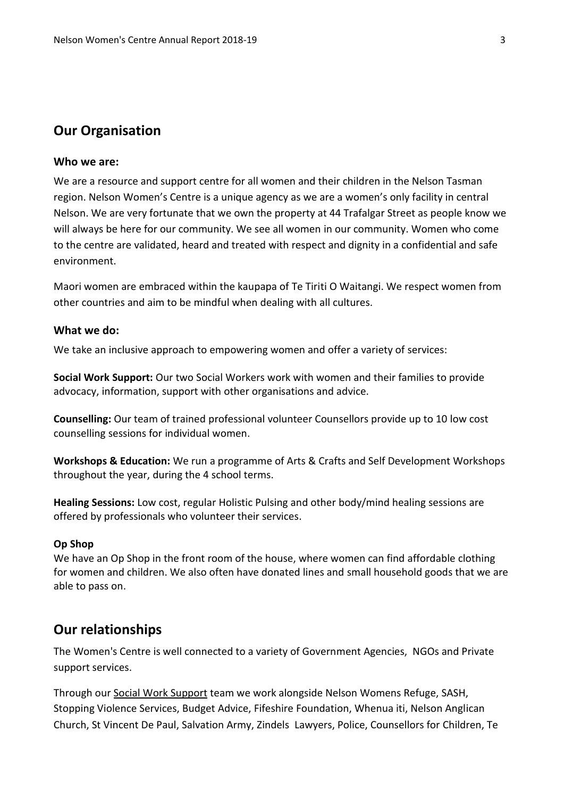# **Our Organisation**

## **Who we are:**

We are a resource and support centre for all women and their children in the Nelson Tasman region. Nelson Women's Centre is a unique agency as we are a women's only facility in central Nelson. We are very fortunate that we own the property at 44 Trafalgar Street as people know we will always be here for our community. We see all women in our community. Women who come to the centre are validated, heard and treated with respect and dignity in a confidential and safe environment.

Maori women are embraced within the kaupapa of Te Tiriti O Waitangi. We respect women from other countries and aim to be mindful when dealing with all cultures.

## **What we do:**

We take an inclusive approach to empowering women and offer a variety of services:

**Social Work Support:** Our two Social Workers work with women and their families to provide advocacy, information, support with other organisations and advice.

**Counselling:** Our team of trained professional volunteer Counsellors provide up to 10 low cost counselling sessions for individual women.

**Workshops & Education:** We run a programme of Arts & Crafts and Self Development Workshops throughout the year, during the 4 school terms.

**Healing Sessions:** Low cost, regular Holistic Pulsing and other body/mind healing sessions are offered by professionals who volunteer their services.

#### **Op Shop**

We have an Op Shop in the front room of the house, where women can find affordable clothing for women and children. We also often have donated lines and small household goods that we are able to pass on.

# **Our relationships**

The Women's Centre is well connected to a variety of Government Agencies, NGOs and Private support services.

Through our Social Work Support team we work alongside Nelson Womens Refuge, SASH, Stopping Violence Services, Budget Advice, Fifeshire Foundation, Whenua iti, Nelson Anglican Church, St Vincent De Paul, Salvation Army, Zindels Lawyers, Police, Counsellors for Children, Te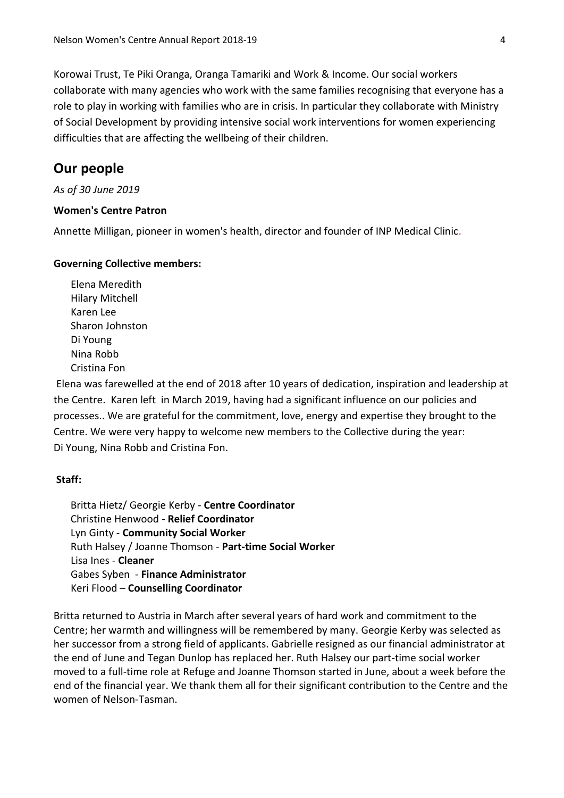Korowai Trust, Te Piki Oranga, Oranga Tamariki and Work & Income. Our social workers collaborate with many agencies who work with the same families recognising that everyone has a role to play in working with families who are in crisis. In particular they collaborate with Ministry of Social Development by providing intensive social work interventions for women experiencing difficulties that are affecting the wellbeing of their children.

# **Our people**

## *As of 30 June 2019*

## **Women's Centre Patron**

Annette Milligan, pioneer in women's health, director and founder of INP Medical Clinic.

## **Governing Collective members:**

Elena Meredith Hilary Mitchell Karen Lee Sharon Johnston Di Young Nina Robb Cristina Fon

Elena was farewelled at the end of 2018 after 10 years of dedication, inspiration and leadership at the Centre. Karen left in March 2019, having had a significant influence on our policies and processes.. We are grateful for the commitment, love, energy and expertise they brought to the Centre. We were very happy to welcome new members to the Collective during the year: Di Young, Nina Robb and Cristina Fon.

## **Staff:**

Britta Hietz/ Georgie Kerby - **Centre Coordinator** Christine Henwood - **Relief Coordinator** Lyn Ginty - **Community Social Worker** Ruth Halsey / Joanne Thomson - **Part-time Social Worker** Lisa Ines - **Cleaner** Gabes Syben - **Finance Administrator** Keri Flood – **Counselling Coordinator**

Britta returned to Austria in March after several years of hard work and commitment to the Centre; her warmth and willingness will be remembered by many. Georgie Kerby was selected as her successor from a strong field of applicants. Gabrielle resigned as our financial administrator at the end of June and Tegan Dunlop has replaced her. Ruth Halsey our part-time social worker moved to a full-time role at Refuge and Joanne Thomson started in June, about a week before the end of the financial year. We thank them all for their significant contribution to the Centre and the women of Nelson-Tasman.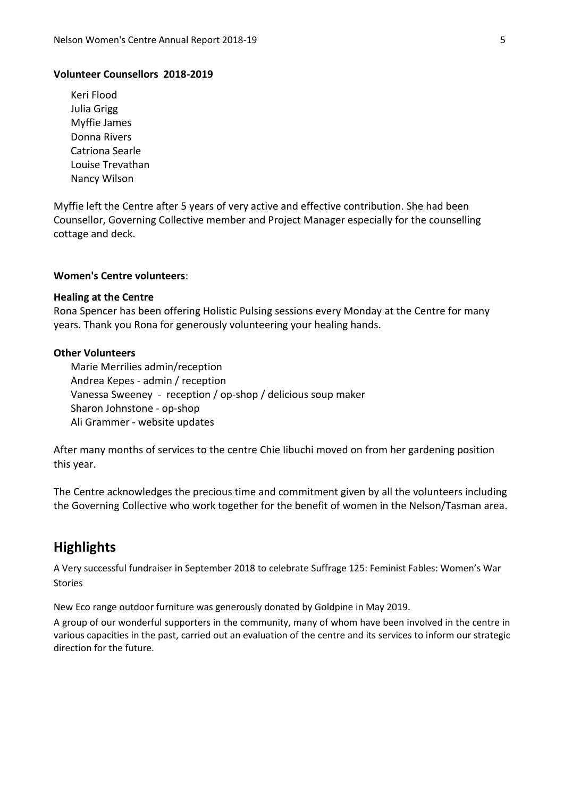#### **Volunteer Counsellors 2018-2019**

Keri Flood Julia Grigg Myffie James Donna Rivers Catriona Searle Louise Trevathan Nancy Wilson

Myffie left the Centre after 5 years of very active and effective contribution. She had been Counsellor, Governing Collective member and Project Manager especially for the counselling cottage and deck.

## **Women's Centre volunteers**:

#### **Healing at the Centre**

Rona Spencer has been offering Holistic Pulsing sessions every Monday at the Centre for many years. Thank you Rona for generously volunteering your healing hands.

#### **Other Volunteers**

Marie Merrilies admin/reception Andrea Kepes - admin / reception Vanessa Sweeney - reception / op-shop / delicious soup maker Sharon Johnstone - op-shop Ali Grammer - website updates

After many months of services to the centre Chie Iibuchi moved on from her gardening position this year.

The Centre acknowledges the precious time and commitment given by all the volunteers including the Governing Collective who work together for the benefit of women in the Nelson/Tasman area.

# **Highlights**

A Very successful fundraiser in September 2018 to celebrate Suffrage 125: Feminist Fables: Women's War Stories

New Eco range outdoor furniture was generously donated by Goldpine in May 2019.

A group of our wonderful supporters in the community, many of whom have been involved in the centre in various capacities in the past, carried out an evaluation of the centre and its services to inform our strategic direction for the future.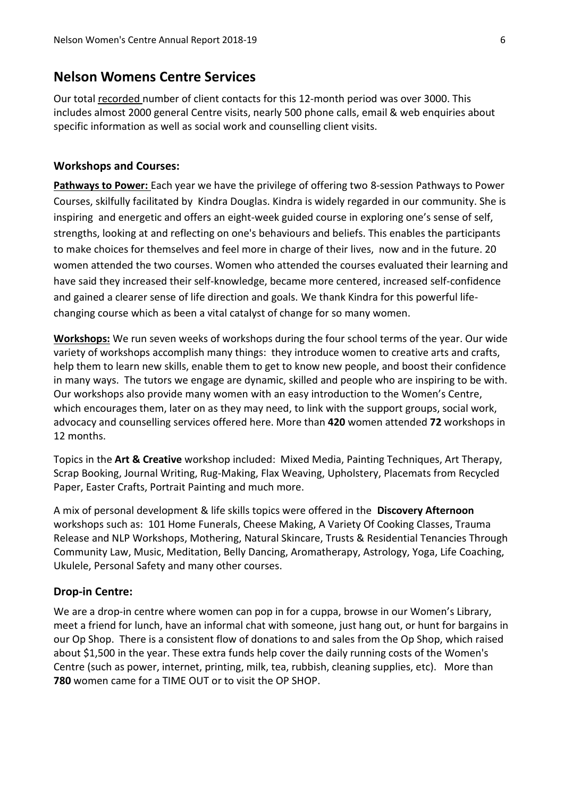# **Nelson Womens Centre Services**

Our total recorded number of client contacts for this 12-month period was over 3000. This includes almost 2000 general Centre visits, nearly 500 phone calls, email & web enquiries about specific information as well as social work and counselling client visits.

### **Workshops and Courses:**

**Pathways to Power:** Each year we have the privilege of offering two 8-session Pathways to Power Courses, skilfully facilitated by Kindra Douglas. Kindra is widely regarded in our community. She is inspiring and energetic and offers an eight-week guided course in exploring one's sense of self, strengths, looking at and reflecting on one's behaviours and beliefs. This enables the participants to make choices for themselves and feel more in charge of their lives, now and in the future. 20 women attended the two courses. Women who attended the courses evaluated their learning and have said they increased their self-knowledge, became more centered, increased self-confidence and gained a clearer sense of life direction and goals. We thank Kindra for this powerful lifechanging course which as been a vital catalyst of change for so many women.

**Workshops:** We run seven weeks of workshops during the four school terms of the year. Our wide variety of workshops accomplish many things: they introduce women to creative arts and crafts, help them to learn new skills, enable them to get to know new people, and boost their confidence in many ways. The tutors we engage are dynamic, skilled and people who are inspiring to be with. Our workshops also provide many women with an easy introduction to the Women's Centre, which encourages them, later on as they may need, to link with the support groups, social work, advocacy and counselling services offered here. More than **420** women attended **72** workshops in 12 months.

Topics in the **Art & Creative** workshop included: Mixed Media, Painting Techniques, Art Therapy, Scrap Booking, Journal Writing, Rug-Making, Flax Weaving, Upholstery, Placemats from Recycled Paper, Easter Crafts, Portrait Painting and much more.

A mix of personal development & life skills topics were offered in the **Discovery Afternoon** workshops such as: 101 Home Funerals, Cheese Making, A Variety Of Cooking Classes, Trauma Release and NLP Workshops, Mothering, Natural Skincare, Trusts & Residential Tenancies Through Community Law, Music, Meditation, Belly Dancing, Aromatherapy, Astrology, Yoga, Life Coaching, Ukulele, Personal Safety and many other courses.

#### **Drop-in Centre:**

We are a drop-in centre where women can pop in for a cuppa, browse in our Women's Library, meet a friend for lunch, have an informal chat with someone, just hang out, or hunt for bargains in our Op Shop. There is a consistent flow of donations to and sales from the Op Shop, which raised about \$1,500 in the year. These extra funds help cover the daily running costs of the Women's Centre (such as power, internet, printing, milk, tea, rubbish, cleaning supplies, etc). More than **780** women came for a TIME OUT or to visit the OP SHOP.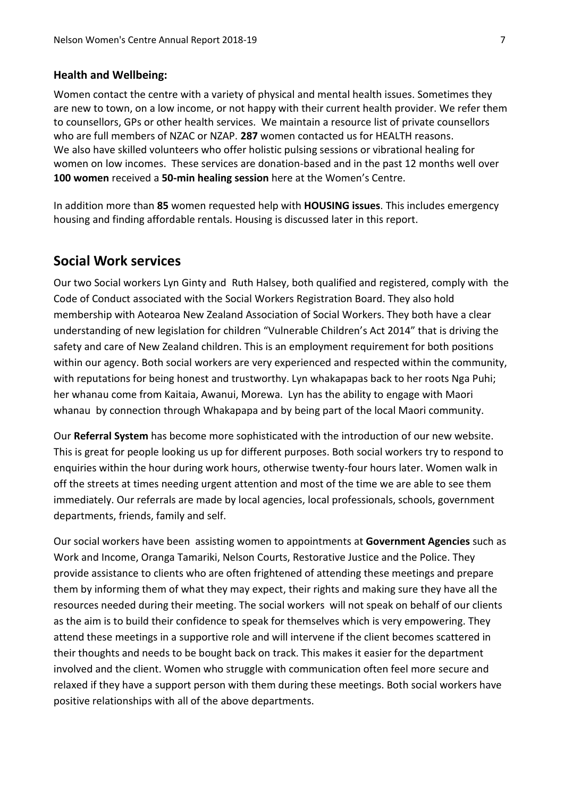#### **Health and Wellbeing:**

Women contact the centre with a variety of physical and mental health issues. Sometimes they are new to town, on a low income, or not happy with their current health provider. We refer them to counsellors, GPs or other health services. We maintain a resource list of private counsellors who are full members of NZAC or NZAP. **287** women contacted us for HEALTH reasons. We also have skilled volunteers who offer holistic pulsing sessions or vibrational healing for women on low incomes. These services are donation-based and in the past 12 months well over **100 women** received a **50-min healing session** here at the Women's Centre.

In addition more than **85** women requested help with **HOUSING issues**. This includes emergency housing and finding affordable rentals. Housing is discussed later in this report.

# **Social Work services**

Our two Social workers Lyn Ginty and Ruth Halsey, both qualified and registered, comply with the Code of Conduct associated with the Social Workers Registration Board. They also hold membership with Aotearoa New Zealand Association of Social Workers. They both have a clear understanding of new legislation for children "Vulnerable Children's Act 2014" that is driving the safety and care of New Zealand children. This is an employment requirement for both positions within our agency. Both social workers are very experienced and respected within the community, with reputations for being honest and trustworthy. Lyn whakapapas back to her roots Nga Puhi; her whanau come from Kaitaia, Awanui, Morewa. Lyn has the ability to engage with Maori whanau by connection through Whakapapa and by being part of the local Maori community.

Our **Referral System** has become more sophisticated with the introduction of our new website. This is great for people looking us up for different purposes. Both social workers try to respond to enquiries within the hour during work hours, otherwise twenty-four hours later. Women walk in off the streets at times needing urgent attention and most of the time we are able to see them immediately. Our referrals are made by local agencies, local professionals, schools, government departments, friends, family and self.

Our social workers have been assisting women to appointments at **Government Agencies** such as Work and Income, Oranga Tamariki, Nelson Courts, Restorative Justice and the Police. They provide assistance to clients who are often frightened of attending these meetings and prepare them by informing them of what they may expect, their rights and making sure they have all the resources needed during their meeting. The social workers will not speak on behalf of our clients as the aim is to build their confidence to speak for themselves which is very empowering. They attend these meetings in a supportive role and will intervene if the client becomes scattered in their thoughts and needs to be bought back on track. This makes it easier for the department involved and the client. Women who struggle with communication often feel more secure and relaxed if they have a support person with them during these meetings. Both social workers have positive relationships with all of the above departments.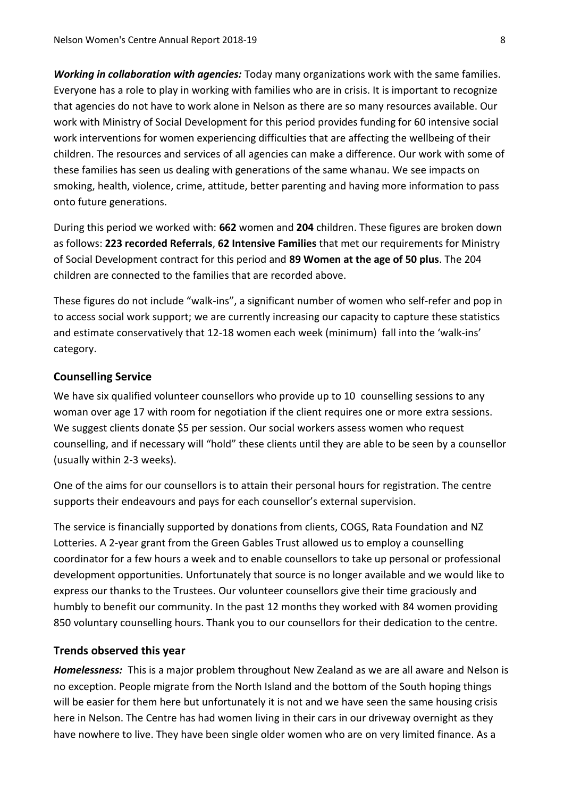*Working in collaboration with agencies:* Today many organizations work with the same families. Everyone has a role to play in working with families who are in crisis. It is important to recognize that agencies do not have to work alone in Nelson as there are so many resources available. Our work with Ministry of Social Development for this period provides funding for 60 intensive social work interventions for women experiencing difficulties that are affecting the wellbeing of their children. The resources and services of all agencies can make a difference. Our work with some of these families has seen us dealing with generations of the same whanau. We see impacts on smoking, health, violence, crime, attitude, better parenting and having more information to pass onto future generations.

During this period we worked with: **662** women and **204** children. These figures are broken down as follows: **223 recorded Referrals**, **62 Intensive Families** that met our requirements for Ministry of Social Development contract for this period and **89 Women at the age of 50 plus**. The 204 children are connected to the families that are recorded above.

These figures do not include "walk-ins", a significant number of women who self-refer and pop in to access social work support; we are currently increasing our capacity to capture these statistics and estimate conservatively that 12-18 women each week (minimum) fall into the 'walk-ins' category.

## **Counselling Service**

We have six qualified volunteer counsellors who provide up to 10 counselling sessions to any woman over age 17 with room for negotiation if the client requires one or more extra sessions. We suggest clients donate \$5 per session. Our social workers assess women who request counselling, and if necessary will "hold" these clients until they are able to be seen by a counsellor (usually within 2-3 weeks).

One of the aims for our counsellors is to attain their personal hours for registration. The centre supports their endeavours and pays for each counsellor's external supervision.

The service is financially supported by donations from clients, COGS, Rata Foundation and NZ Lotteries. A 2-year grant from the Green Gables Trust allowed us to employ a counselling coordinator for a few hours a week and to enable counsellors to take up personal or professional development opportunities. Unfortunately that source is no longer available and we would like to express our thanks to the Trustees. Our volunteer counsellors give their time graciously and humbly to benefit our community. In the past 12 months they worked with 84 women providing 850 voluntary counselling hours. Thank you to our counsellors for their dedication to the centre.

## **Trends observed this year**

*Homelessness:* This is a major problem throughout New Zealand as we are all aware and Nelson is no exception. People migrate from the North Island and the bottom of the South hoping things will be easier for them here but unfortunately it is not and we have seen the same housing crisis here in Nelson. The Centre has had women living in their cars in our driveway overnight as they have nowhere to live. They have been single older women who are on very limited finance. As a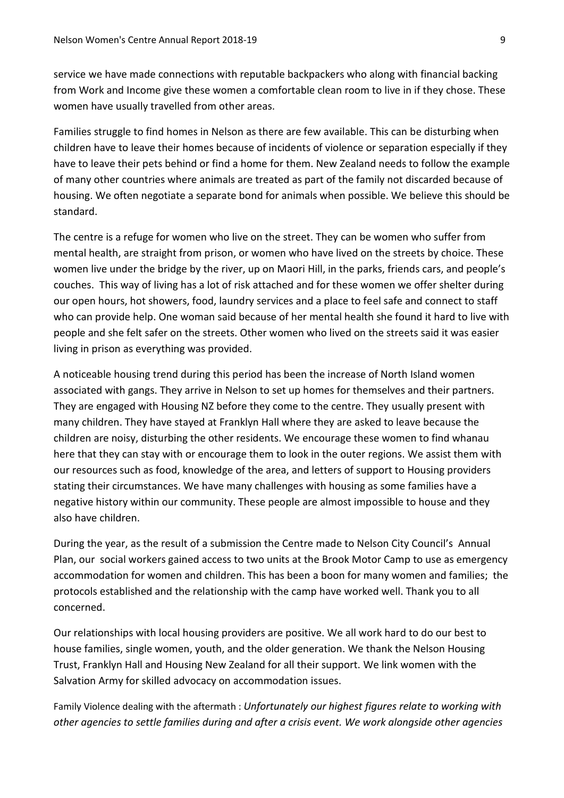service we have made connections with reputable backpackers who along with financial backing from Work and Income give these women a comfortable clean room to live in if they chose. These women have usually travelled from other areas.

Families struggle to find homes in Nelson as there are few available. This can be disturbing when children have to leave their homes because of incidents of violence or separation especially if they have to leave their pets behind or find a home for them. New Zealand needs to follow the example of many other countries where animals are treated as part of the family not discarded because of housing. We often negotiate a separate bond for animals when possible. We believe this should be standard.

The centre is a refuge for women who live on the street. They can be women who suffer from mental health, are straight from prison, or women who have lived on the streets by choice. These women live under the bridge by the river, up on Maori Hill, in the parks, friends cars, and people's couches. This way of living has a lot of risk attached and for these women we offer shelter during our open hours, hot showers, food, laundry services and a place to feel safe and connect to staff who can provide help. One woman said because of her mental health she found it hard to live with people and she felt safer on the streets. Other women who lived on the streets said it was easier living in prison as everything was provided.

A noticeable housing trend during this period has been the increase of North Island women associated with gangs. They arrive in Nelson to set up homes for themselves and their partners. They are engaged with Housing NZ before they come to the centre. They usually present with many children. They have stayed at Franklyn Hall where they are asked to leave because the children are noisy, disturbing the other residents. We encourage these women to find whanau here that they can stay with or encourage them to look in the outer regions. We assist them with our resources such as food, knowledge of the area, and letters of support to Housing providers stating their circumstances. We have many challenges with housing as some families have a negative history within our community. These people are almost impossible to house and they also have children.

During the year, as the result of a submission the Centre made to Nelson City Council's Annual Plan, our social workers gained access to two units at the Brook Motor Camp to use as emergency accommodation for women and children. This has been a boon for many women and families; the protocols established and the relationship with the camp have worked well. Thank you to all concerned.

Our relationships with local housing providers are positive. We all work hard to do our best to house families, single women, youth, and the older generation. We thank the Nelson Housing Trust, Franklyn Hall and Housing New Zealand for all their support. We link women with the Salvation Army for skilled advocacy on accommodation issues.

Family Violence dealing with the aftermath : *Unfortunately our highest figures relate to working with other agencies to settle families during and after a crisis event. We work alongside other agencies*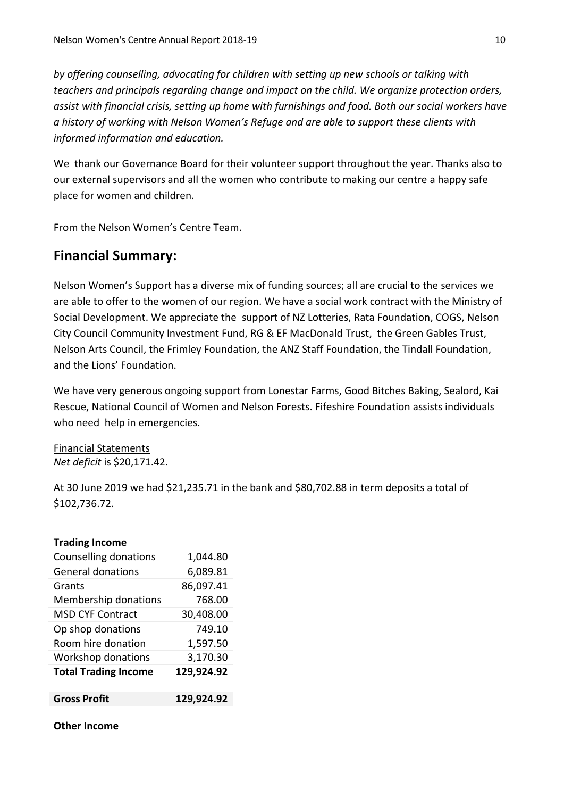*by offering counselling, advocating for children with setting up new schools or talking with teachers and principals regarding change and impact on the child. We organize protection orders, assist with financial crisis, setting up home with furnishings and food. Both our social workers have a history of working with Nelson Women's Refuge and are able to support these clients with informed information and education.*

We thank our Governance Board for their volunteer support throughout the year. Thanks also to our external supervisors and all the women who contribute to making our centre a happy safe place for women and children.

From the Nelson Women's Centre Team.

# **Financial Summary:**

Nelson Women's Support has a diverse mix of funding sources; all are crucial to the services we are able to offer to the women of our region. We have a social work contract with the Ministry of Social Development. We appreciate the support of NZ Lotteries, Rata Foundation, COGS, Nelson City Council Community Investment Fund, RG & EF MacDonald Trust, the Green Gables Trust, Nelson Arts Council, the Frimley Foundation, the ANZ Staff Foundation, the Tindall Foundation, and the Lions' Foundation.

We have very generous ongoing support from Lonestar Farms, Good Bitches Baking, Sealord, Kai Rescue, National Council of Women and Nelson Forests. Fifeshire Foundation assists individuals who need help in emergencies.

Financial Statements *Net deficit* is \$20,171.42.

At 30 June 2019 we had \$21,235.71 in the bank and \$80,702.88 in term deposits a total of \$102,736.72.

| <b>Trading Income</b>       |            |
|-----------------------------|------------|
| Counselling donations       | 1,044.80   |
| General donations           | 6,089.81   |
| Grants                      | 86,097.41  |
| Membership donations        | 768.00     |
| MSD CYF Contract            | 30,408.00  |
| Op shop donations           | 749.10     |
| Room hire donation          | 1,597.50   |
| Workshop donations          | 3,170.30   |
| <b>Total Trading Income</b> | 129,924.92 |
| <b>Gross Profit</b>         | 129,924.92 |
| Other Income                |            |